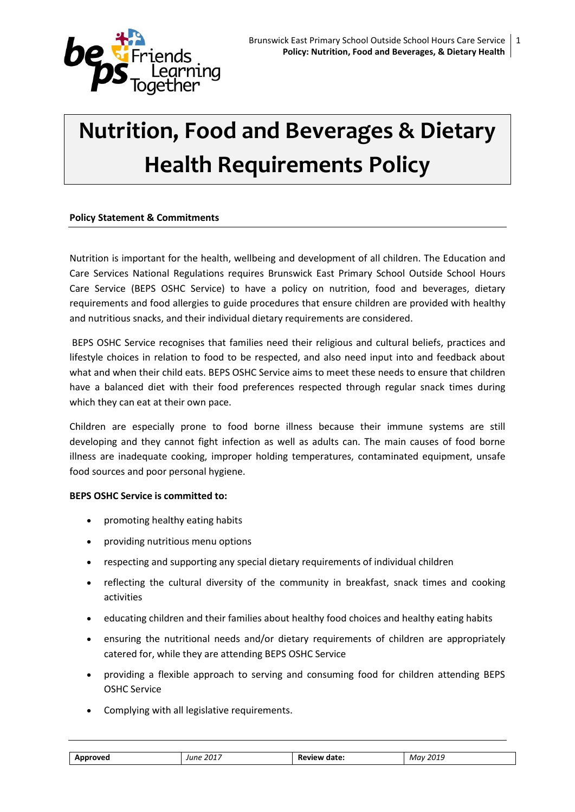

# **Nutrition, Food and Beverages & Dietary Health Requirements Policy**

# **Policy Statement & Commitments**

Nutrition is important for the health, wellbeing and development of all children. The Education and Care Services National Regulations requires Brunswick East Primary School Outside School Hours Care Service (BEPS OSHC Service) to have a policy on nutrition, food and beverages, dietary requirements and food allergies to guide procedures that ensure children are provided with healthy and nutritious snacks, and their individual dietary requirements are considered.

BEPS OSHC Service recognises that families need their religious and cultural beliefs, practices and lifestyle choices in relation to food to be respected, and also need input into and feedback about what and when their child eats. BEPS OSHC Service aims to meet these needs to ensure that children have a balanced diet with their food preferences respected through regular snack times during which they can eat at their own pace.

Children are especially prone to food borne illness because their immune systems are still developing and they cannot fight infection as well as adults can. The main causes of food borne illness are inadequate cooking, improper holding temperatures, contaminated equipment, unsafe food sources and poor personal hygiene.

# **BEPS OSHC Service is committed to:**

- promoting healthy eating habits
- providing nutritious menu options
- respecting and supporting any special dietary requirements of individual children
- reflecting the cultural diversity of the community in breakfast, snack times and cooking activities
- educating children and their families about healthy food choices and healthy eating habits
- ensuring the nutritional needs and/or dietary requirements of children are appropriately catered for, while they are attending BEPS OSHC Service
- providing a flexible approach to serving and consuming food for children attending BEPS OSHC Service
- Complying with all legislative requirements.

| Approver' | 2017<br>'nŕ | Review date: | 2019<br>Mav |
|-----------|-------------|--------------|-------------|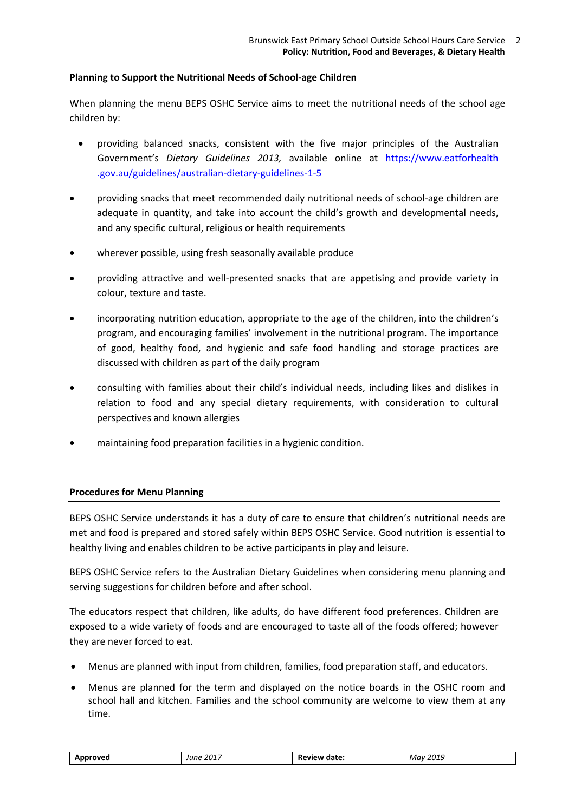# **Planning to Support the Nutritional Needs of School-age Children**

When planning the menu BEPS OSHC Service aims to meet the nutritional needs of the school age children by:

- providing balanced snacks, consistent with the five major principles of the Australian Government's *Dietary Guidelines 2013,* available online at [https://www.eatforhealth](https://www.eatforhealth.gov.au/guidelines/australian-dietary-guidelines-1-5) [.gov.au/guidelines/australian-dietary-guidelines-1-5](https://www.eatforhealth.gov.au/guidelines/australian-dietary-guidelines-1-5)
- providing snacks that meet recommended daily nutritional needs of school-age children are adequate in quantity, and take into account the child's growth and developmental needs, and any specific cultural, religious or health requirements
- wherever possible, using fresh seasonally available produce
- providing attractive and well-presented snacks that are appetising and provide variety in colour, texture and taste.
- incorporating nutrition education, appropriate to the age of the children, into the children's program, and encouraging families' involvement in the nutritional program. The importance of good, healthy food, and hygienic and safe food handling and storage practices are discussed with children as part of the daily program
- consulting with families about their child's individual needs, including likes and dislikes in relation to food and any special dietary requirements, with consideration to cultural perspectives and known allergies
- maintaining food preparation facilities in a hygienic condition.

# **Procedures for Menu Planning**

BEPS OSHC Service understands it has a duty of care to ensure that children's nutritional needs are met and food is prepared and stored safely within BEPS OSHC Service. Good nutrition is essential to healthy living and enables children to be active participants in play and leisure.

BEPS OSHC Service refers to the Australian Dietary Guidelines when considering menu planning and serving suggestions for children before and after school.

The educators respect that children, like adults, do have different food preferences. Children are exposed to a wide variety of foods and are encouraged to taste all of the foods offered; however they are never forced to eat.

- Menus are planned with input from children, families, food preparation staff, and educators.
- Menus are planned for the term and displayed *o*n the notice boards in the OSHC room and school hall and kitchen. Families and the school community are welcome to view them at any time.

| Approved | : 2017<br>June | Review date: | May 2019 |
|----------|----------------|--------------|----------|
|          |                |              |          |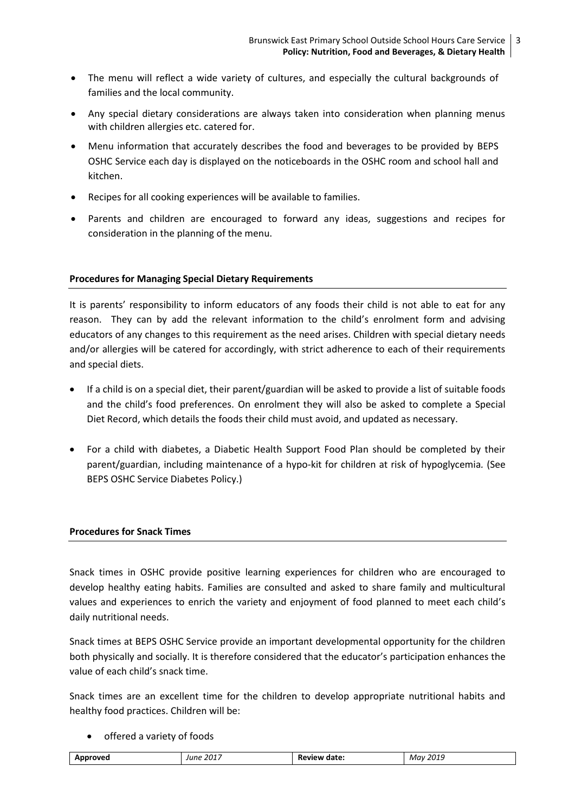- The menu will reflect a wide variety of cultures, and especially the cultural backgrounds of families and the local community.
- Any special dietary considerations are always taken into consideration when planning menus with children allergies etc. catered for.
- Menu information that accurately describes the food and beverages to be provided by BEPS OSHC Service each day is displayed on the noticeboards in the OSHC room and school hall and kitchen.
- Recipes for all cooking experiences will be available to families.
- Parents and children are encouraged to forward any ideas, suggestions and recipes for consideration in the planning of the menu.

# **Procedures for Managing Special Dietary Requirements**

It is parents' responsibility to inform educators of any foods their child is not able to eat for any reason. They can by add the relevant information to the child's enrolment form and advising educators of any changes to this requirement as the need arises. Children with special dietary needs and/or allergies will be catered for accordingly, with strict adherence to each of their requirements and special diets.

- If a child is on a special diet, their parent/guardian will be asked to provide a list of suitable foods and the child's food preferences. On enrolment they will also be asked to complete a Special Diet Record, which details the foods their child must avoid, and updated as necessary.
- For a child with diabetes, a Diabetic Health Support Food Plan should be completed by their parent/guardian, including maintenance of a hypo-kit for children at risk of hypoglycemia*.* (See BEPS OSHC Service Diabetes Policy.)

# **Procedures for Snack Times**

Snack times in OSHC provide positive learning experiences for children who are encouraged to develop healthy eating habits. Families are consulted and asked to share family and multicultural values and experiences to enrich the variety and enjoyment of food planned to meet each child's daily nutritional needs.

Snack times at BEPS OSHC Service provide an important developmental opportunity for the children both physically and socially. It is therefore considered that the educator's participation enhances the value of each child's snack time.

Snack times are an excellent time for the children to develop appropriate nutritional habits and healthy food practices. Children will be:

• offered a variety of foods

| .<br>$\mathbf{a}$<br>בחק<br>date<br>May<br>lune<br>בנטל יי<br>w<br>. |  |  |  | . | __ |
|----------------------------------------------------------------------|--|--|--|---|----|
|----------------------------------------------------------------------|--|--|--|---|----|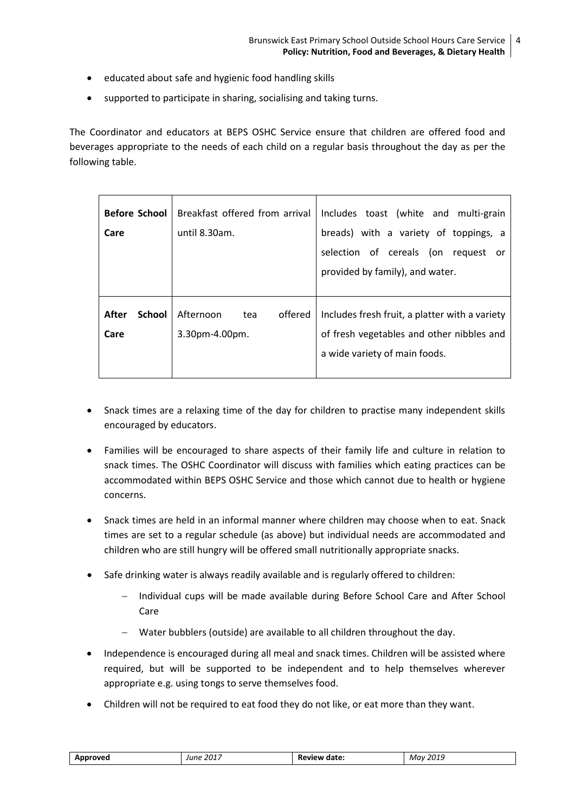- educated about safe and hygienic food handling skills
- supported to participate in sharing, socialising and taking turns.

The Coordinator and educators at BEPS OSHC Service ensure that children are offered food and beverages appropriate to the needs of each child on a regular basis throughout the day as per the following table.

| <b>Before School</b><br>Care   | Breakfast offered from arrival<br>until 8.30am. | Includes toast (white and multi-grain<br>breads) with a variety of toppings, a<br>selection of cereals (on request<br>or<br>provided by family), and water. |
|--------------------------------|-------------------------------------------------|-------------------------------------------------------------------------------------------------------------------------------------------------------------|
| After<br><b>School</b><br>Care | Afternoon<br>offered<br>tea<br>3.30pm-4.00pm.   | Includes fresh fruit, a platter with a variety<br>of fresh vegetables and other nibbles and<br>a wide variety of main foods.                                |

- Snack times are a relaxing time of the day for children to practise many independent skills encouraged by educators.
- Families will be encouraged to share aspects of their family life and culture in relation to snack times. The OSHC Coordinator will discuss with families which eating practices can be accommodated within BEPS OSHC Service and those which cannot due to health or hygiene concerns.
- Snack times are held in an informal manner where children may choose when to eat. Snack times are set to a regular schedule (as above) but individual needs are accommodated and children who are still hungry will be offered small nutritionally appropriate snacks.
- Safe drinking water is always readily available and is regularly offered to children:
	- Individual cups will be made available during Before School Care and After School Care
	- Water bubblers (outside) are available to all children throughout the day.
- Independence is encouraged during all meal and snack times. Children will be assisted where required, but will be supported to be independent and to help themselves wherever appropriate e.g. using tongs to serve themselves food.
- Children will not be required to eat food they do not like, or eat more than they want.

| Approved | . 2017<br>June<br>_____ | <b>Review date:</b> | May 2019 |
|----------|-------------------------|---------------------|----------|
|----------|-------------------------|---------------------|----------|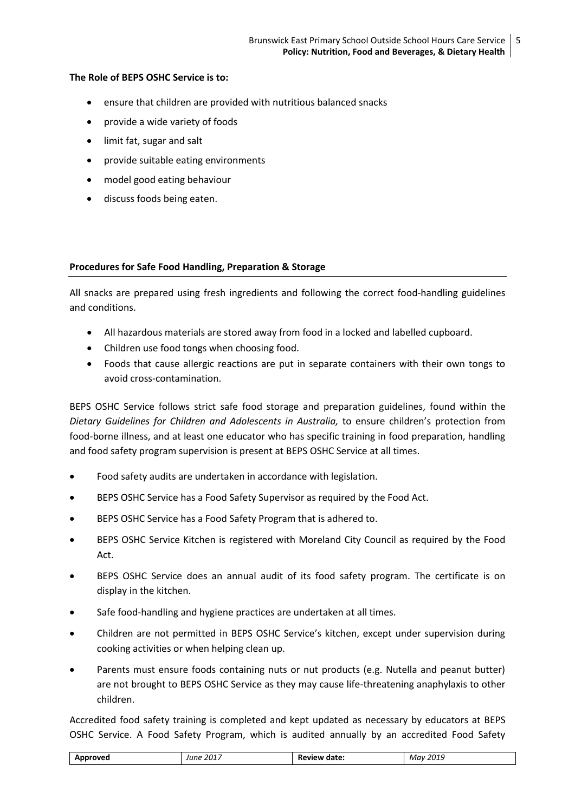# **The Role of BEPS OSHC Service is to:**

- ensure that children are provided with nutritious balanced snacks
- provide a wide variety of foods
- limit fat, sugar and salt
- provide suitable eating environments
- model good eating behaviour
- discuss foods being eaten.

#### **Procedures for Safe Food Handling, Preparation & Storage**

All snacks are prepared using fresh ingredients and following the correct food-handling guidelines and conditions.

- All hazardous materials are stored away from food in a locked and labelled cupboard.
- Children use food tongs when choosing food.
- Foods that cause allergic reactions are put in separate containers with their own tongs to avoid cross-contamination.

BEPS OSHC Service follows strict safe food storage and preparation guidelines, found within the *Dietary Guidelines for Children and Adolescents in Australia,* to ensure children's protection from food-borne illness, and at least one educator who has specific training in food preparation, handling and food safety program supervision is present at BEPS OSHC Service at all times.

- Food safety audits are undertaken in accordance with legislation.
- BEPS OSHC Service has a Food Safety Supervisor as required by the Food Act.
- BEPS OSHC Service has a Food Safety Program that is adhered to.
- BEPS OSHC Service Kitchen is registered with Moreland City Council as required by the Food Act.
- BEPS OSHC Service does an annual audit of its food safety program. The certificate is on display in the kitchen.
- Safe food-handling and hygiene practices are undertaken at all times.
- Children are not permitted in BEPS OSHC Service's kitchen, except under supervision during cooking activities or when helping clean up.
- Parents must ensure foods containing nuts or nut products (e.g. Nutella and peanut butter) are not brought to BEPS OSHC Service as they may cause life-threatening anaphylaxis to other children.

Accredited food safety training is completed and kept updated as necessary by educators at BEPS OSHC Service. A Food Safety Program, which is audited annually by an accredited Food Safety

| 2017<br>201<br>May<br>date.<br>lııne<br>PМ<br>. $\bf{M}$<br>-4013<br>w.<br>$- -$<br>.<br>___<br>______ |  |
|--------------------------------------------------------------------------------------------------------|--|
|--------------------------------------------------------------------------------------------------------|--|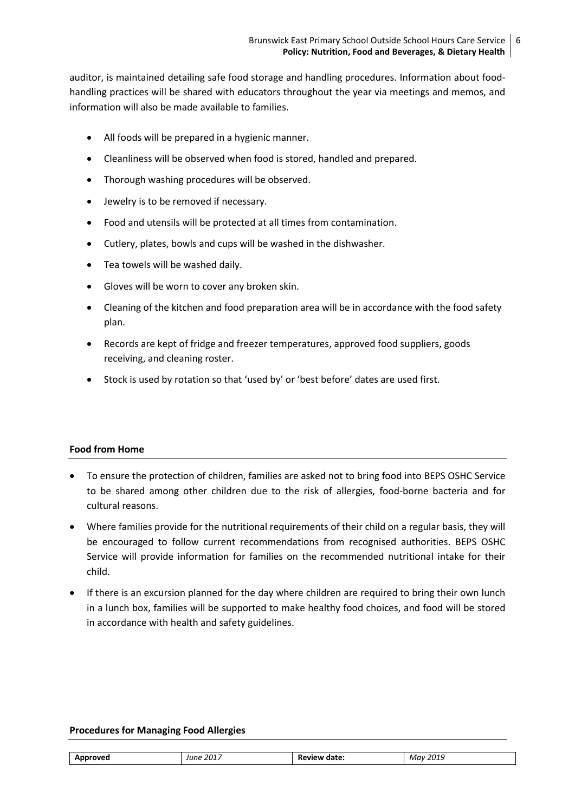auditor, is maintained detailing safe food storage and handling procedures. Information about foodhandling practices will be shared with educators throughout the year via meetings and memos, and information will also be made available to families.

- All foods will be prepared in a hygienic manner.
- Cleanliness will be observed when food is stored, handled and prepared.
- Thorough washing procedures will be observed.
- Jewelry is to be removed if necessary.
- Food and utensils will be protected at all times from contamination.
- Cutlery, plates, bowls and cups will be washed in the dishwasher.
- Tea towels will be washed daily.
- Gloves will be worn to cover any broken skin.
- Cleaning of the kitchen and food preparation area will be in accordance with the food safety plan.
- Records are kept of fridge and freezer temperatures, approved food suppliers, goods receiving, and cleaning roster.
- Stock is used by rotation so that 'used by' or 'best before' dates are used first.

# **Food from Home**

- To ensure the protection of children, families are asked not to bring food into BEPS OSHC Service to be shared among other children due to the risk of allergies, food-borne bacteria and for cultural reasons.
- Where families provide for the nutritional requirements of their child on a regular basis, they will be encouraged to follow current recommendations from recognised authorities. BEPS OSHC Service will provide information for families on the recommended nutritional intake for their child.
- If there is an excursion planned for the day where children are required to bring their own lunch in a lunch box, families will be supported to make healthy food choices, and food will be stored in accordance with health and safety guidelines.

# **Procedures for Managing Food Allergies**

| 2017<br>2019<br>date.<br>Δn<br><b>MAVA</b><br>May<br>rune<br>еw<br>-<br>___ |
|-----------------------------------------------------------------------------|
|-----------------------------------------------------------------------------|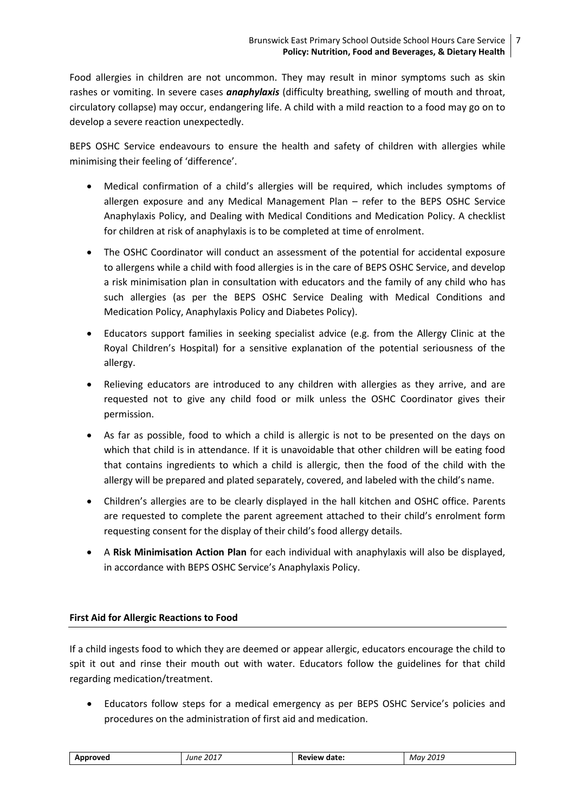Food allergies in children are not uncommon. They may result in minor symptoms such as skin rashes or vomiting. In severe cases *anaphylaxis* (difficulty breathing, swelling of mouth and throat, circulatory collapse) may occur, endangering life. A child with a mild reaction to a food may go on to develop a severe reaction unexpectedly.

BEPS OSHC Service endeavours to ensure the health and safety of children with allergies while minimising their feeling of 'difference'.

- Medical confirmation of a child's allergies will be required, which includes symptoms of allergen exposure and any Medical Management Plan – refer to the BEPS OSHC Service Anaphylaxis Policy, and Dealing with Medical Conditions and Medication Policy. A checklist for children at risk of anaphylaxis is to be completed at time of enrolment.
- The OSHC Coordinator will conduct an assessment of the potential for accidental exposure to allergens while a child with food allergies is in the care of BEPS OSHC Service, and develop a risk minimisation plan in consultation with educators and the family of any child who has such allergies (as per the BEPS OSHC Service Dealing with Medical Conditions and Medication Policy, Anaphylaxis Policy and Diabetes Policy).
- Educators support families in seeking specialist advice (e.g. from the Allergy Clinic at the Royal Children's Hospital) for a sensitive explanation of the potential seriousness of the allergy.
- Relieving educators are introduced to any children with allergies as they arrive, and are requested not to give any child food or milk unless the OSHC Coordinator gives their permission.
- As far as possible, food to which a child is allergic is not to be presented on the days on which that child is in attendance. If it is unavoidable that other children will be eating food that contains ingredients to which a child is allergic, then the food of the child with the allergy will be prepared and plated separately, covered, and labeled with the child's name.
- Children's allergies are to be clearly displayed in the hall kitchen and OSHC office. Parents are requested to complete the parent agreement attached to their child's enrolment form requesting consent for the display of their child's food allergy details.
- A **Risk Minimisation Action Plan** for each individual with anaphylaxis will also be displayed, in accordance with BEPS OSHC Service's Anaphylaxis Policy.

# **First Aid for Allergic Reactions to Food**

If a child ingests food to which they are deemed or appear allergic, educators encourage the child to spit it out and rinse their mouth out with water. Educators follow the guidelines for that child regarding medication/treatment.

 Educators follow steps for a medical emergency as per BEPS OSHC Service's policies and procedures on the administration of first aid and medication.

| 2017<br>Approved<br>June | Review date: | 2019<br>Mav<br>___ |
|--------------------------|--------------|--------------------|
|--------------------------|--------------|--------------------|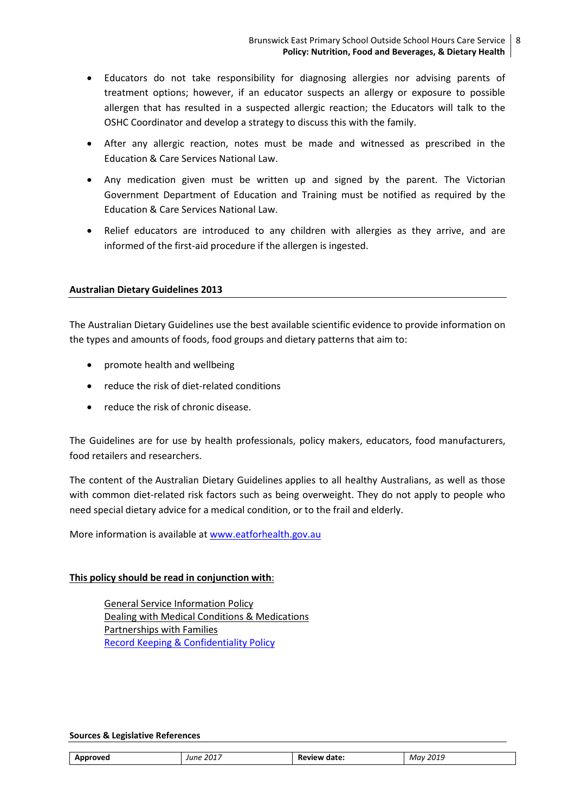- Educators do not take responsibility for diagnosing allergies nor advising parents of treatment options; however, if an educator suspects an allergy or exposure to possible allergen that has resulted in a suspected allergic reaction; the Educators will talk to the OSHC Coordinator and develop a strategy to discuss this with the family.
- After any allergic reaction, notes must be made and witnessed as prescribed in the Education & Care Services National Law.
- Any medication given must be written up and signed by the parent. The Victorian Government Department of Education and Training must be notified as required by the Education & Care Services National Law.
- Relief educators are introduced to any children with allergies as they arrive, and are informed of the first-aid procedure if the allergen is ingested.

# **Australian Dietary Guidelines 2013**

The Australian Dietary Guidelines use the best available scientific evidence to provide information on the types and amounts of foods, food groups and dietary patterns that aim to:

- promote health and wellbeing
- reduce the risk of diet-related conditions
- reduce the risk of chronic disease.

The Guidelines are for use by health professionals, policy makers, educators, food manufacturers, food retailers and researchers.

The content of the Australian Dietary Guidelines applies to all healthy Australians, as well as those with common diet-related risk factors such as being overweight. They do not apply to people who need special dietary advice for a medical condition, or to the frail and elderly.

More information is available at [www.eatforhealth.gov.au](http://www.eatforhealth.gov.au/)

# **This policy should be read in conjunction with**:

General Service Information Policy Dealing with Medical Conditions & Medications Partnerships with Families [Record Keeping & Confidentiality Policy](file:///C:/Users/08478100/Desktop/2017%20OSHC%20Policies%20to%20be%20uploaded%20to%20website/Information%20for%20Families%202017/BEPS%20OSHC%20POLICY_Enrolment%20,%20Re-enrolment%20&%20Orientation%20of%20Children%20July%202017.docx%23_5.7_PRIVACY_POLICY)

#### **Sources & Legislative References**

| . 2017<br>Approved<br>June<br>_______ | <b>Review date:</b> | 2019<br>Mav<br>__ |
|---------------------------------------|---------------------|-------------------|
|---------------------------------------|---------------------|-------------------|